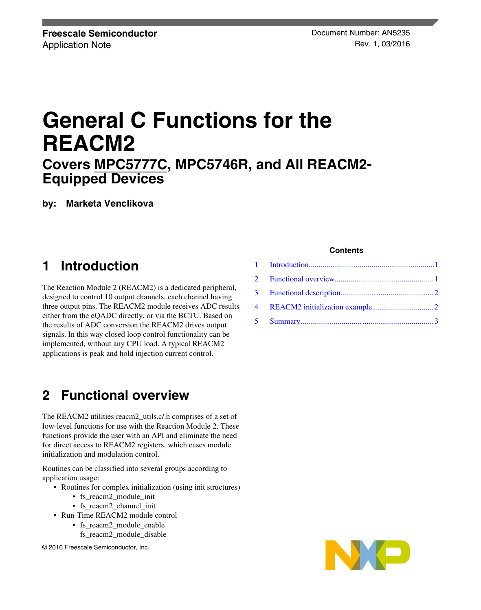# **General C Functions for the REACM2 Covers [MPC5777C](https://www.nxp.com/products/processors-and-microcontrollers/power-architecture/mpc5xxx-microcontrollers/ultra-reliable-mpc57xx-mcus/ultra-reliable-mpc5777c-mcu-for-automotive-and-industrial-engine-management:MPC5777C?utm_medium=AN-2021), MPC5746R, and All REACM2- Equipped Devices**

**by: Marketa Venclikova**

## **1 Introduction**

The Reaction Module 2 (REACM2) is a dedicated peripheral, designed to control 10 output channels, each channel having three output pins. The REACM2 module receives ADC results either from the eQADC directly, or via the BCTU. Based on the results of ADC conversion the REACM2 drives output signals. In this way closed loop control functionality can be implemented, without any CPU load. A typical REACM2 applications is peak and hold injection current control.

# **2 Functional overview**

The REACM2 utilities reacm2\_utils.c/.h comprises of a set of low-level functions for use with the Reaction Module 2. These functions provide the user with an API and eliminate the need for direct access to REACM2 registers, which eases module initialization and modulation control.

Routines can be classified into several groups according to application usage:

- Routines for complex initialization (using init structures)
	- fs\_reacm2\_module\_init
	- fs\_reacm2\_channel\_init
- Run-Time REACM2 module control
	- fs\_reacm2\_module\_enable
		- fs\_reacm2\_module\_disable

© 2016 Freescale Semiconductor, Inc.

#### **Contents**

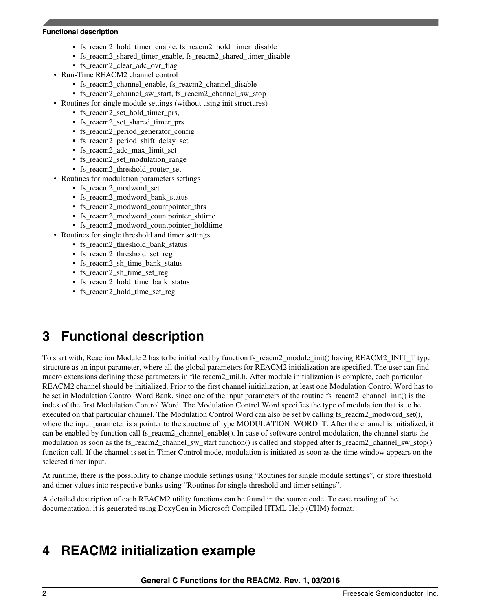#### <span id="page-1-0"></span>**Functional description**

- fs\_reacm2\_hold\_timer\_enable, fs\_reacm2\_hold\_timer\_disable
- fs\_reacm2\_shared\_timer\_enable, fs\_reacm2\_shared\_timer\_disable
- fs reacm2 clear adc ovr flag
- Run-Time REACM2 channel control
	- fs reacm2 channel enable, fs reacm2 channel disable
	- fs\_reacm2\_channel\_sw\_start, fs\_reacm2\_channel\_sw\_stop
- Routines for single module settings (without using init structures)
	- fs reacm2 set hold timer prs,
	- fs\_reacm2\_set\_shared\_timer\_prs
	- fs reacm2 period generator config
	- fs\_reacm2\_period\_shift\_delay\_set
	- fs reacm2 adc max limit set
	- fs reacm2 set modulation range
	- fs\_reacm2\_threshold\_router\_set
- Routines for modulation parameters settings
	- fs reacm2 modword set
	- fs reacm2 modword bank status
	- fs reacm2 modword countpointer thrs
	- fs\_reacm2\_modword\_countpointer\_shtime
	- fs\_reacm2\_modword\_countpointer\_holdtime
- Routines for single threshold and timer settings
	- fs\_reacm2\_threshold\_bank\_status
	- fs reacm2 threshold set reg
	- fs reacm2 sh\_time\_bank\_status
	- fs reacm2 sh time set reg
	- fs reacm2 hold time bank status
	- fs\_reacm2\_hold\_time\_set\_reg

# **3 Functional description**

To start with, Reaction Module 2 has to be initialized by function fs\_reacm2\_module\_init() having REACM2\_INIT\_T type structure as an input parameter, where all the global parameters for REACM2 initialization are specified. The user can find macro extensions defining these parameters in file reacm2\_util.h. After module initialization is complete, each particular REACM2 channel should be initialized. Prior to the first channel initialization, at least one Modulation Control Word has to be set in Modulation Control Word Bank, since one of the input parameters of the routine fs\_reacm2\_channel\_init() is the index of the first Modulation Control Word. The Modulation Control Word specifies the type of modulation that is to be executed on that particular channel. The Modulation Control Word can also be set by calling fs\_reacm2\_modword\_set(), where the input parameter is a pointer to the structure of type MODULATION WORD T. After the channel is initialized, it can be enabled by function call fs\_reacm2\_channel\_enable(). In case of software control modulation, the channel starts the modulation as soon as the fs\_reacm2\_channel\_sw\_start function() is called and stopped after fs\_reacm2\_channel\_sw\_stop() function call. If the channel is set in Timer Control mode, modulation is initiated as soon as the time window appears on the selected timer input.

At runtime, there is the possibility to change module settings using "Routines for single module settings", or store threshold and timer values into respective banks using "Routines for single threshold and timer settings".

A detailed description of each REACM2 utility functions can be found in the source code. To ease reading of the documentation, it is generated using DoxyGen in Microsoft Compiled HTML Help (CHM) format.

## **4 REACM2 initialization example**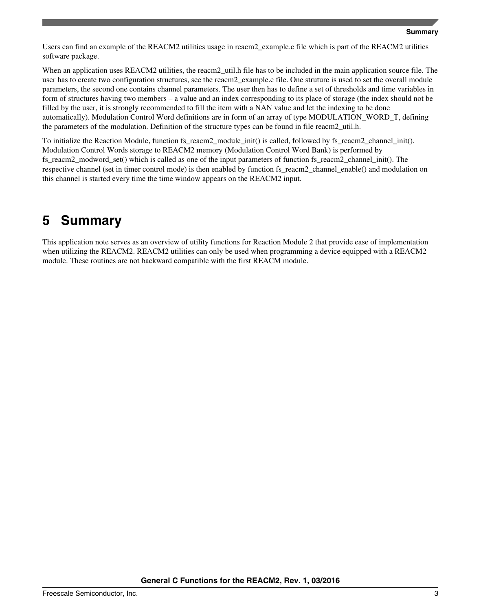<span id="page-2-0"></span>Users can find an example of the REACM2 utilities usage in reacm2\_example.c file which is part of the REACM2 utilities software package.

When an application uses REACM2 utilities, the reacm2\_util.h file has to be included in the main application source file. The user has to create two configuration structures, see the reacm2\_example.c file. One struture is used to set the overall module parameters, the second one contains channel parameters. The user then has to define a set of thresholds and time variables in form of structures having two members – a value and an index corresponding to its place of storage (the index should not be filled by the user, it is strongly recommended to fill the item with a NAN value and let the indexing to be done automatically). Modulation Control Word definitions are in form of an array of type MODULATION\_WORD\_T, defining the parameters of the modulation. Definition of the structure types can be found in file reacm2\_util.h.

To initialize the Reaction Module, function fs\_reacm2\_module\_init() is called, followed by fs\_reacm2\_channel\_init(). Modulation Control Words storage to REACM2 memory (Modulation Control Word Bank) is performed by fs\_reacm2\_modword\_set() which is called as one of the input parameters of function fs\_reacm2\_channel\_init(). The respective channel (set in timer control mode) is then enabled by function fs\_reacm2\_channel\_enable() and modulation on this channel is started every time the time window appears on the REACM2 input.

## **5 Summary**

This application note serves as an overview of utility functions for Reaction Module 2 that provide ease of implementation when utilizing the REACM2. REACM2 utilities can only be used when programming a device equipped with a REACM2 module. These routines are not backward compatible with the first REACM module.